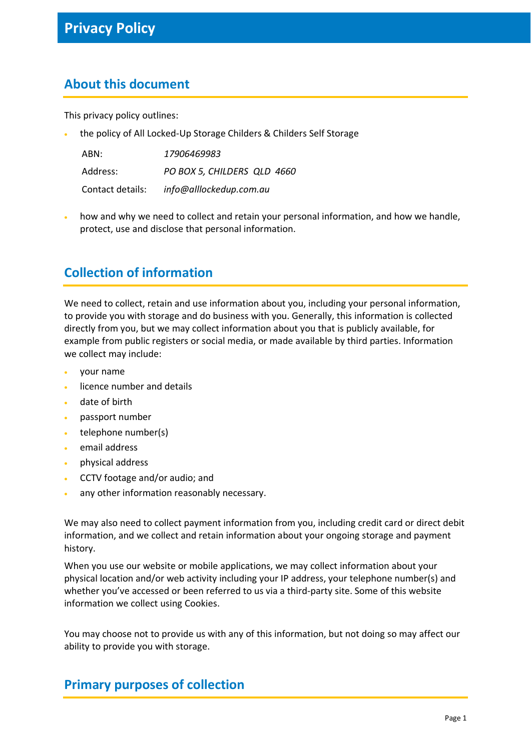#### **About this document**

This privacy policy outlines:

• the policy of All Locked-Up Storage Childers & Childers Self Storage

| ABN:             | 17906469983                 |
|------------------|-----------------------------|
| Address:         | PO BOX 5, CHILDERS QLD 4660 |
| Contact details: | info@alllockedup.com.au     |

• how and why we need to collect and retain your personal information, and how we handle, protect, use and disclose that personal information.

## **Collection of information**

We need to collect, retain and use information about you, including your personal information, to provide you with storage and do business with you. Generally, this information is collected directly from you, but we may collect information about you that is publicly available, for example from public registers or social media, or made available by third parties. Information we collect may include:

- your name
- licence number and details
- date of birth
- passport number
- telephone number(s)
- email address
- physical address
- CCTV footage and/or audio; and
- any other information reasonably necessary.

We may also need to collect payment information from you, including credit card or direct debit information, and we collect and retain information about your ongoing storage and payment history.

When you use our website or mobile applications, we may collect information about your physical location and/or web activity including your IP address, your telephone number(s) and whether you've accessed or been referred to us via a third-party site. Some of this website information we collect using Cookies.

You may choose not to provide us with any of this information, but not doing so may affect our ability to provide you with storage.

#### **Primary purposes of collection**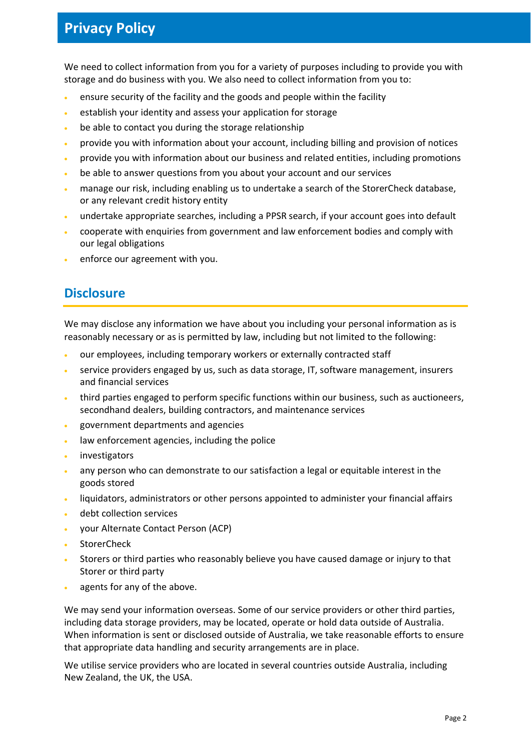## **Privacy Policy**

We need to collect information from you for a variety of purposes including to provide you with storage and do business with you. We also need to collect information from you to:

- ensure security of the facility and the goods and people within the facility
- establish your identity and assess your application for storage
- be able to contact you during the storage relationship
- provide you with information about your account, including billing and provision of notices
- provide you with information about our business and related entities, including promotions
- be able to answer questions from you about your account and our services
- manage our risk, including enabling us to undertake a search of the StorerCheck database, or any relevant credit history entity
- undertake appropriate searches, including a PPSR search, if your account goes into default
- cooperate with enquiries from government and law enforcement bodies and comply with our legal obligations
- enforce our agreement with you.

#### **Disclosure**

We may disclose any information we have about you including your personal information as is reasonably necessary or as is permitted by law, including but not limited to the following:

- our employees, including temporary workers or externally contracted staff
- service providers engaged by us, such as data storage, IT, software management, insurers and financial services
- third parties engaged to perform specific functions within our business, such as auctioneers, secondhand dealers, building contractors, and maintenance services
- government departments and agencies
- law enforcement agencies, including the police
- investigators
- any person who can demonstrate to our satisfaction a legal or equitable interest in the goods stored
- liquidators, administrators or other persons appointed to administer your financial affairs
- debt collection services
- your Alternate Contact Person (ACP)
- **StorerCheck**
- Storers or third parties who reasonably believe you have caused damage or injury to that Storer or third party
- agents for any of the above.

We may send your information overseas. Some of our service providers or other third parties, including data storage providers, may be located, operate or hold data outside of Australia. When information is sent or disclosed outside of Australia, we take reasonable efforts to ensure that appropriate data handling and security arrangements are in place.

We utilise service providers who are located in several countries outside Australia, including New Zealand, the UK, the USA.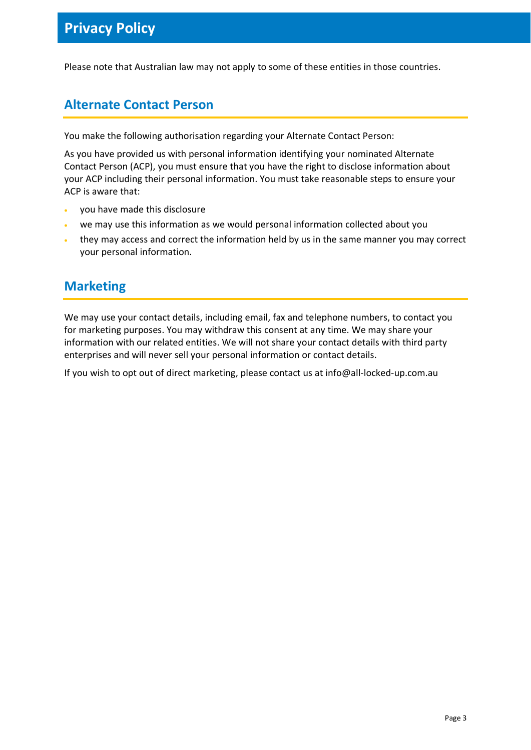Please note that Australian law may not apply to some of these entities in those countries.

## **Alternate Contact Person**

You make the following authorisation regarding your Alternate Contact Person:

As you have provided us with personal information identifying your nominated Alternate Contact Person (ACP), you must ensure that you have the right to disclose information about your ACP including their personal information. You must take reasonable steps to ensure your ACP is aware that:

- you have made this disclosure
- we may use this information as we would personal information collected about you
- they may access and correct the information held by us in the same manner you may correct your personal information.

#### **Marketing**

We may use your contact details, including email, fax and telephone numbers, to contact you for marketing purposes. You may withdraw this consent at any time. We may share your information with our related entities. We will not share your contact details with third party enterprises and will never sell your personal information or contact details.

If you wish to opt out of direct marketing, please contact us at info@all-locked-up.com.au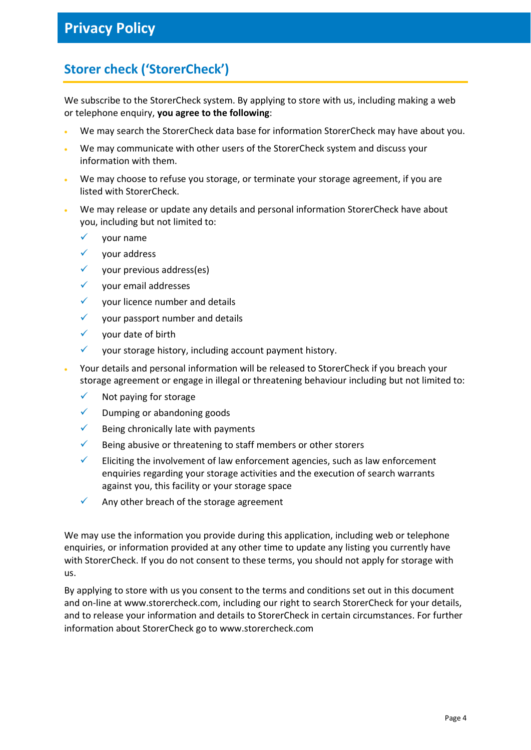# **Storer check ('StorerCheck')**

We subscribe to the StorerCheck system. By applying to store with us, including making a web or telephone enquiry, **you agree to the following**:

- We may search the StorerCheck data base for information StorerCheck may have about you.
- We may communicate with other users of the StorerCheck system and discuss your information with them.
- We may choose to refuse you storage, or terminate your storage agreement, if you are listed with StorerCheck.
- We may release or update any details and personal information StorerCheck have about you, including but not limited to:
	- $\checkmark$  your name
	- $\checkmark$  your address
	- $\checkmark$  your previous address(es)
	- $\checkmark$  your email addresses
	- $\checkmark$  vour licence number and details
	- $\checkmark$  vour passport number and details
	- $\checkmark$  your date of birth
	- $\checkmark$  your storage history, including account payment history.
- Your details and personal information will be released to StorerCheck if you breach your storage agreement or engage in illegal or threatening behaviour including but not limited to:
	- $\checkmark$  Not paying for storage
	- $\checkmark$  Dumping or abandoning goods
	- $\checkmark$  Being chronically late with payments
	- $\checkmark$  Being abusive or threatening to staff members or other storers
	- Eliciting the involvement of law enforcement agencies, such as law enforcement enquiries regarding your storage activities and the execution of search warrants against you, this facility or your storage space
	- $\checkmark$  Any other breach of the storage agreement

We may use the information you provide during this application, including web or telephone enquiries, or information provided at any other time to update any listing you currently have with StorerCheck. If you do not consent to these terms, you should not apply for storage with us.

By applying to store with us you consent to the terms and conditions set out in this document and on-line at www.storercheck.com, including our right to search StorerCheck for your details, and to release your information and details to StorerCheck in certain circumstances. For further information about StorerCheck go to www.storercheck.com